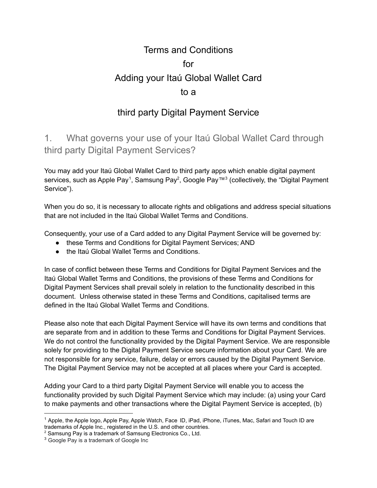# Terms and Conditions for Adding your Itaú Global Wallet Card to a

# third party Digital Payment Service

1. What governs your use of your Itaú Global Wallet Card through third party Digital Payment Services?

You may add your Itaú Global Wallet Card to third party apps which enable digital payment services, such as Apple Pay<sup>1</sup>, Samsung Pay<sup>2</sup>, Google Pay™<sup>3</sup> (collectively, the "Digital Payment Service").

When you do so, it is necessary to allocate rights and obligations and address special situations that are not included in the Itaú Global Wallet Terms and Conditions.

Consequently, your use of a Card added to any Digital Payment Service will be governed by:

- these Terms and Conditions for Digital Payment Services; AND
- the Itaú Global Wallet Terms and Conditions.

In case of conflict between these Terms and Conditions for Digital Payment Services and the Itaú Global Wallet Terms and Conditions, the provisions of these Terms and Conditions for Digital Payment Services shall prevail solely in relation to the functionality described in this document. Unless otherwise stated in these Terms and Conditions, capitalised terms are defined in the Itaú Global Wallet Terms and Conditions.

Please also note that each Digital Payment Service will have its own terms and conditions that are separate from and in addition to these Terms and Conditions for Digital Payment Services. We do not control the functionality provided by the Digital Payment Service. We are responsible solely for providing to the Digital Payment Service secure information about your Card. We are not responsible for any service, failure, delay or errors caused by the Digital Payment Service. The Digital Payment Service may not be accepted at all places where your Card is accepted.

Adding your Card to a third party Digital Payment Service will enable you to access the functionality provided by such Digital Payment Service which may include: (a) using your Card to make payments and other transactions where the Digital Payment Service is accepted, (b)

<sup>&</sup>lt;sup>1</sup> Apple, the Apple logo, Apple Pay, Apple Watch, Face ID, iPad, iPhone, iTunes, Mac, Safari and Touch ID are trademarks of Apple Inc., registered in the U.S. and other countries.

<sup>2</sup> Samsung Pay is a trademark of Samsung Electronics Co., Ltd.

<sup>&</sup>lt;sup>3</sup> Google Pay is a trademark of Google Inc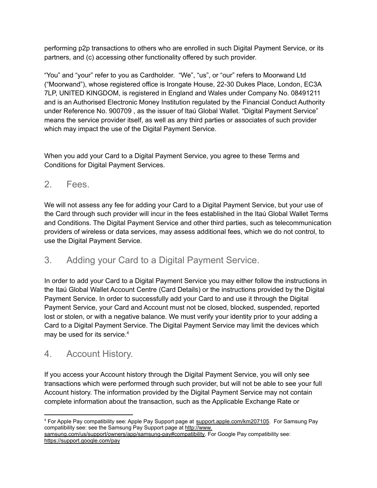performing p2p transactions to others who are enrolled in such Digital Payment Service, or its partners, and (c) accessing other functionality offered by such provider.

"You" and "your" refer to you as Cardholder. "We", "us", or "our" refers to Moorwand Ltd ("Moorwand"), whose registered office is Irongate House, 22-30 Dukes Place, London, EC3A 7LP, UNITED KINGDOM, is registered in England and Wales under Company No. 08491211 and is an Authorised Electronic Money Institution regulated by the Financial Conduct Authority under Reference No. 900709 , as the issuer of Itaú Global Wallet. "Digital Payment Service" means the service provider itself, as well as any third parties or associates of such provider which may impact the use of the Digital Payment Service.

When you add your Card to a Digital Payment Service, you agree to these Terms and Conditions for Digital Payment Services.

#### 2. Fees.

We will not assess any fee for adding your Card to a Digital Payment Service, but your use of the Card through such provider will incur in the fees established in the Itaú Global Wallet Terms and Conditions. The Digital Payment Service and other third parties, such as telecommunication providers of wireless or data services, may assess additional fees, which we do not control, to use the Digital Payment Service.

## 3. Adding your Card to a Digital Payment Service.

In order to add your Card to a Digital Payment Service you may either follow the instructions in the Itaú Global Wallet Account Centre (Card Details) or the instructions provided by the Digital Payment Service. In order to successfully add your Card to and use it through the Digital Payment Service, your Card and Account must not be closed, blocked, suspended, reported lost or stolen, or with a negative balance. We must verify your identity prior to your adding a Card to a Digital Payment Service. The Digital Payment Service may limit the devices which may be used for its service.<sup>4</sup>

## 4. Account History.

If you access your Account history through the Digital Payment Service, you will only see transactions which were performed through such provider, but will not be able to see your full Account history. The information provided by the Digital Payment Service may not contain complete information about the transaction, such as the Applicable Exchange Rate or

<sup>4</sup> For Apple Pay compatibility see: Apple Pay Support page at support.apple.com/km207105. For Samsung Pay compatibility see: see the Samsung Pay Support page at [http://www.](http://www.samsung.com/us/support/owners/app/samsung-pay#compatibility)

[samsung.com/us/support/owners/app/samsung-pay#compatibility.](http://www.samsung.com/us/support/owners/app/samsung-pay#compatibility) For Google Pay compatibility see: <https://support.google.com/pay>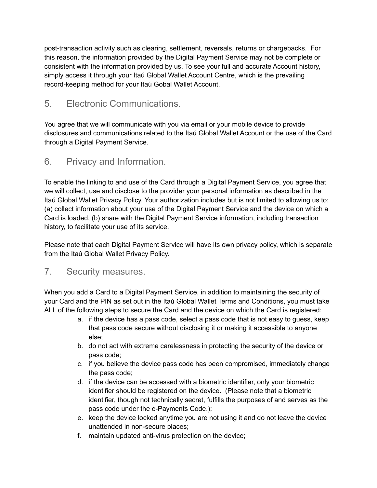post-transaction activity such as clearing, settlement, reversals, returns or chargebacks. For this reason, the information provided by the Digital Payment Service may not be complete or consistent with the information provided by us. To see your full and accurate Account history, simply access it through your Itaú Global Wallet Account Centre, which is the prevailing record-keeping method for your Itaú Gobal Wallet Account.

## 5. Electronic Communications.

You agree that we will communicate with you via email or your mobile device to provide disclosures and communications related to the Itaú Global Wallet Account or the use of the Card through a Digital Payment Service.

#### 6. Privacy and Information.

To enable the linking to and use of the Card through a Digital Payment Service, you agree that we will collect, use and disclose to the provider your personal information as described in the Itaú Global Wallet Privacy Policy. Your authorization includes but is not limited to allowing us to: (a) collect information about your use of the Digital Payment Service and the device on which a Card is loaded, (b) share with the Digital Payment Service information, including transaction history, to facilitate your use of its service.

Please note that each Digital Payment Service will have its own privacy policy, which is separate from the Itaú Global Wallet Privacy Policy.

#### 7. Security measures.

When you add a Card to a Digital Payment Service, in addition to maintaining the security of your Card and the PIN as set out in the Itaú Global Wallet Terms and Conditions, you must take ALL of the following steps to secure the Card and the device on which the Card is registered:

- a. if the device has a pass code, select a pass code that is not easy to guess, keep that pass code secure without disclosing it or making it accessible to anyone else;
- b. do not act with extreme carelessness in protecting the security of the device or pass code;
- c. if you believe the device pass code has been compromised, immediately change the pass code;
- d. if the device can be accessed with a biometric identifier, only your biometric identifier should be registered on the device. (Please note that a biometric identifier, though not technically secret, fulfills the purposes of and serves as the pass code under the e-Payments Code.);
- e. keep the device locked anytime you are not using it and do not leave the device unattended in non-secure places;
- f. maintain updated anti-virus protection on the device;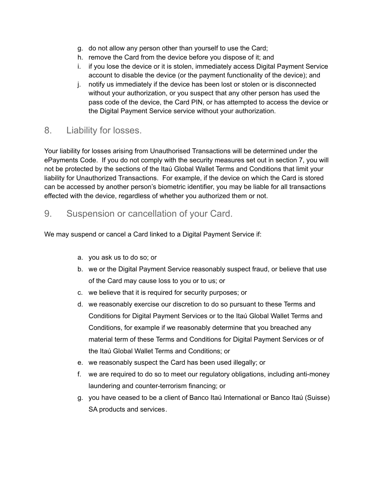- g. do not allow any person other than yourself to use the Card;
- h. remove the Card from the device before you dispose of it; and
- i. if you lose the device or it is stolen, immediately access Digital Payment Service account to disable the device (or the payment functionality of the device); and
- j. notify us immediately if the device has been lost or stolen or is disconnected without your authorization, or you suspect that any other person has used the pass code of the device, the Card PIN, or has attempted to access the device or the Digital Payment Service service without your authorization.

#### 8. Liability for losses.

Your liability for losses arising from Unauthorised Transactions will be determined under the ePayments Code. If you do not comply with the security measures set out in section 7, you will not be protected by the sections of the Itaú Global Wallet Terms and Conditions that limit your liability for Unauthorized Transactions. For example, if the device on which the Card is stored can be accessed by another person's biometric identifier, you may be liable for all transactions effected with the device, regardless of whether you authorized them or not.

#### 9. Suspension or cancellation of your Card.

We may suspend or cancel a Card linked to a Digital Payment Service if:

- a. you ask us to do so; or
- b. we or the Digital Payment Service reasonably suspect fraud, or believe that use of the Card may cause loss to you or to us; or
- c. we believe that it is required for security purposes; or
- d. we reasonably exercise our discretion to do so pursuant to these Terms and Conditions for Digital Payment Services or to the Itaú Global Wallet Terms and Conditions, for example if we reasonably determine that you breached any material term of these Terms and Conditions for Digital Payment Services or of the Itaú Global Wallet Terms and Conditions; or
- e. we reasonably suspect the Card has been used illegally; or
- f. we are required to do so to meet our regulatory obligations, including anti-money laundering and counter-terrorism financing; or
- g. you have ceased to be a client of Banco Itaú International or Banco Itaú (Suisse) SA products and services.